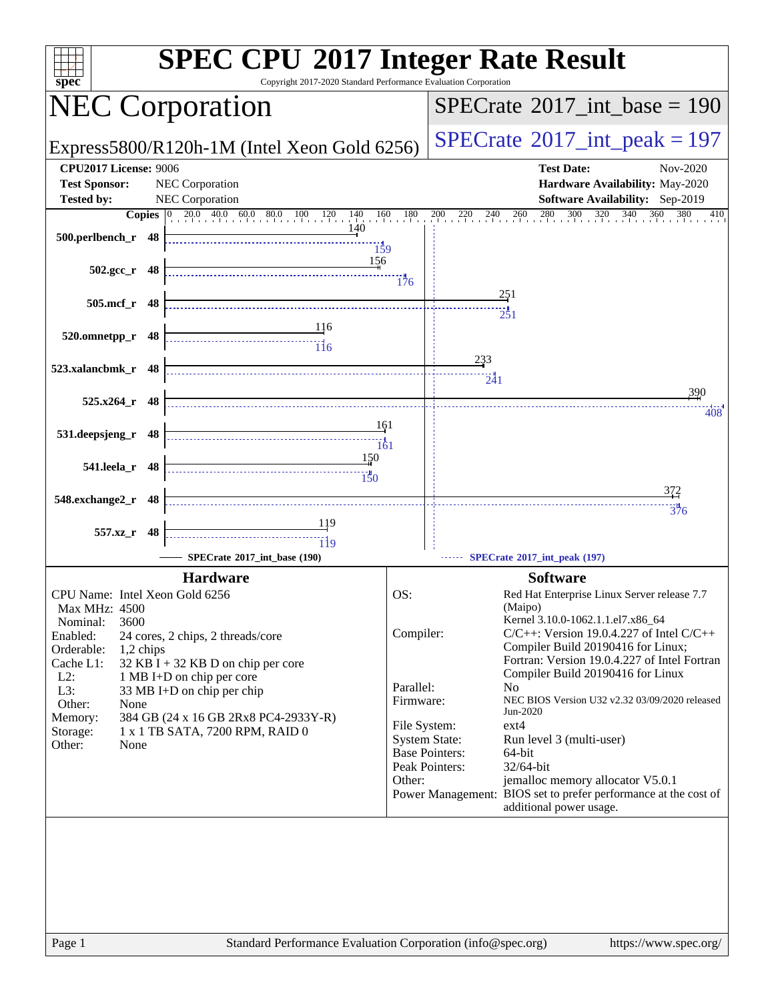| Copyright 2017-2020 Standard Performance Evaluation Corporation<br>$spec^*$                                                                                                                                                                                                                                                                                                                                                                                                          | <b>SPEC CPU®2017 Integer Rate Result</b>                                                                                                                                                                                                                                                                                                                                                                                                                                                                                                                                                                                                                                                                           |
|--------------------------------------------------------------------------------------------------------------------------------------------------------------------------------------------------------------------------------------------------------------------------------------------------------------------------------------------------------------------------------------------------------------------------------------------------------------------------------------|--------------------------------------------------------------------------------------------------------------------------------------------------------------------------------------------------------------------------------------------------------------------------------------------------------------------------------------------------------------------------------------------------------------------------------------------------------------------------------------------------------------------------------------------------------------------------------------------------------------------------------------------------------------------------------------------------------------------|
| <b>NEC Corporation</b>                                                                                                                                                                                                                                                                                                                                                                                                                                                               | $SPECrate^{\circledast}2017\_int\_base = 190$                                                                                                                                                                                                                                                                                                                                                                                                                                                                                                                                                                                                                                                                      |
| Express5800/R120h-1M (Intel Xeon Gold 6256)                                                                                                                                                                                                                                                                                                                                                                                                                                          | $SPECTate$ <sup>®</sup> 2017_int_peak = 197                                                                                                                                                                                                                                                                                                                                                                                                                                                                                                                                                                                                                                                                        |
| <b>CPU2017 License: 9006</b><br><b>Test Sponsor:</b><br>NEC Corporation<br><b>Tested by:</b><br><b>NEC Corporation</b><br><b>Copies</b> 0 20.0 40.0 60.0 80.0 100 120 140 160 180<br>140<br>500.perlbench_r 48<br>$\frac{139}{159}$<br>156<br>$502.\text{gcc r}$ 48<br>505.mcf_r 48<br>$\begin{array}{c c c} & & 116 \\ \hline \end{array}$<br>520.omnetpp_r 48<br>523.xalancbmk_r 48<br>$525.x264_r$ 48<br>161<br>531.deepsjeng_r 48<br>150<br>541.leela_r 48<br>548.exchange2_r 48 | <b>Test Date:</b><br>Nov-2020<br>Hardware Availability: May-2020<br>Software Availability: Sep-2019<br>200 220 240 260 280 300 320 340<br>$360$ $380$<br>410<br>176<br>251<br>$\frac{1}{251}$<br>233<br>$\frac{1}{241}$<br>390<br>408<br><u>372</u>                                                                                                                                                                                                                                                                                                                                                                                                                                                                |
| 557.xz_r 48<br>119                                                                                                                                                                                                                                                                                                                                                                                                                                                                   | 376                                                                                                                                                                                                                                                                                                                                                                                                                                                                                                                                                                                                                                                                                                                |
| SPECrate®2017_int_base (190)                                                                                                                                                                                                                                                                                                                                                                                                                                                         | SPECrate®2017_int_peak (197)                                                                                                                                                                                                                                                                                                                                                                                                                                                                                                                                                                                                                                                                                       |
| <b>Hardware</b><br>CPU Name: Intel Xeon Gold 6256<br>Max MHz: 4500<br>3600<br>Nominal:<br>Enabled:<br>24 cores, 2 chips, 2 threads/core<br>Orderable:<br>1,2 chips<br>Cache L1:<br>$32$ KB I + 32 KB D on chip per core<br>$L2$ :<br>1 MB I+D on chip per core<br>L3:<br>33 MB I+D on chip per chip<br>Other:<br>None<br>Memory:<br>384 GB (24 x 16 GB 2Rx8 PC4-2933Y-R)<br>1 x 1 TB SATA, 7200 RPM, RAID 0<br>Storage:<br>Other:<br>None                                            | <b>Software</b><br>OS:<br>Red Hat Enterprise Linux Server release 7.7<br>(Maipo)<br>Kernel 3.10.0-1062.1.1.el7.x86_64<br>Compiler:<br>$C/C++$ : Version 19.0.4.227 of Intel $C/C++$<br>Compiler Build 20190416 for Linux;<br>Fortran: Version 19.0.4.227 of Intel Fortran<br>Compiler Build 20190416 for Linux<br>Parallel:<br>N <sub>o</sub><br>NEC BIOS Version U32 v2.32 03/09/2020 released<br>Firmware:<br>Jun-2020<br>ext4<br>File System:<br><b>System State:</b><br>Run level 3 (multi-user)<br><b>Base Pointers:</b><br>64-bit<br>Peak Pointers:<br>32/64-bit<br>jemalloc memory allocator V5.0.1<br>Other:<br>Power Management: BIOS set to prefer performance at the cost of<br>additional power usage. |
| Standard Performance Evaluation Corporation (info@spec.org)<br>Page 1                                                                                                                                                                                                                                                                                                                                                                                                                | https://www.spec.org/                                                                                                                                                                                                                                                                                                                                                                                                                                                                                                                                                                                                                                                                                              |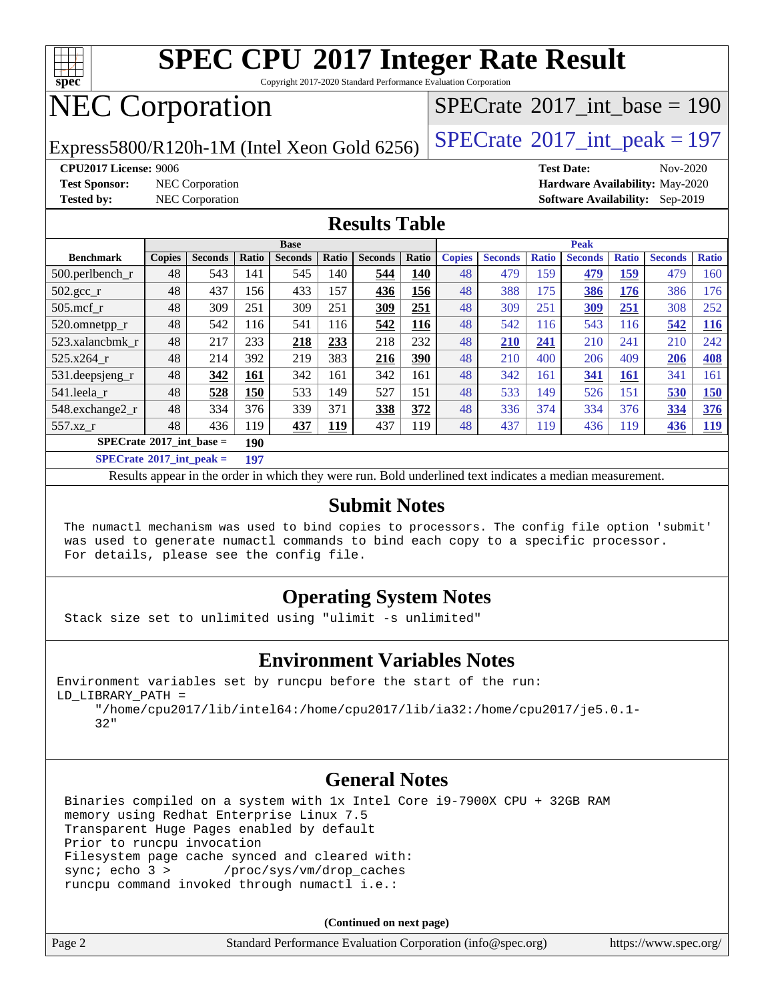

Copyright 2017-2020 Standard Performance Evaluation Corporation

# NEC Corporation

Express5800/R120h-1M (Intel Xeon Gold 6256)  $\left|$  [SPECrate](http://www.spec.org/auto/cpu2017/Docs/result-fields.html#SPECrate2017intpeak)<sup>®</sup>[2017\\_int\\_peak = 1](http://www.spec.org/auto/cpu2017/Docs/result-fields.html#SPECrate2017intpeak)97

 $SPECTate@2017_int\_base = 190$ 

**[CPU2017 License:](http://www.spec.org/auto/cpu2017/Docs/result-fields.html#CPU2017License)** 9006 **[Test Date:](http://www.spec.org/auto/cpu2017/Docs/result-fields.html#TestDate)** Nov-2020

**[Test Sponsor:](http://www.spec.org/auto/cpu2017/Docs/result-fields.html#TestSponsor)** NEC Corporation **[Hardware Availability:](http://www.spec.org/auto/cpu2017/Docs/result-fields.html#HardwareAvailability)** May-2020 **[Tested by:](http://www.spec.org/auto/cpu2017/Docs/result-fields.html#Testedby)** NEC Corporation **[Software Availability:](http://www.spec.org/auto/cpu2017/Docs/result-fields.html#SoftwareAvailability)** Sep-2019

#### **[Results Table](http://www.spec.org/auto/cpu2017/Docs/result-fields.html#ResultsTable)**

|                                          | <b>Base</b>   |                |                      |                |            |                | <b>Peak</b> |               |                |              |                |              |                |              |
|------------------------------------------|---------------|----------------|----------------------|----------------|------------|----------------|-------------|---------------|----------------|--------------|----------------|--------------|----------------|--------------|
| <b>Benchmark</b>                         | <b>Copies</b> | <b>Seconds</b> | Ratio                | <b>Seconds</b> | Ratio      | <b>Seconds</b> | Ratio       | <b>Copies</b> | <b>Seconds</b> | <b>Ratio</b> | <b>Seconds</b> | <b>Ratio</b> | <b>Seconds</b> | <b>Ratio</b> |
| 500.perlbench_r                          | 48            | 543            | 141                  | 545            | 140        | 544            | 140         | 48            | 479            | 159          | 479            | <u>159</u>   | 479            | 160          |
| $502.\text{gcc}$ _r                      | 48            | 437            | 156                  | 433            | 157        | 436            | 156         | 48            | 388            | 175          | 386            | 176          | 386            | 176          |
| 505.mcf r                                | 48            | 309            | 251                  | 309            | 251        | 309            | 251         | 48            | 309            | 251          | 309            | 251          | 308            | 252          |
| 520.omnetpp_r                            | 48            | 542            | 116                  | 541            | 116        | 542            | 116         | 48            | 542            | 116          | 543            | 116          | 542            | <b>116</b>   |
| 523.xalancbmk r                          | 48            | 217            | 233                  | 218            | 233        | 218            | 232         | 48            | 210            | 241          | 210            | 241          | 210            | 242          |
| 525.x264 r                               | 48            | 214            | 392                  | 219            | 383        | 216            | 390         | 48            | 210            | 400          | 206            | 409          | 206            | <b>408</b>   |
| 531.deepsjeng_r                          | 48            | 342            | 161                  | 342            | 161        | 342            | 161         | 48            | 342            | 161          | 341            | 161          | 341            | 161          |
| 541.leela r                              | 48            | 528            | 150                  | 533            | 149        | 527            | 151         | 48            | 533            | 149          | 526            | 151          | 530            | <b>150</b>   |
| 548.exchange2_r                          | 48            | 334            | 376                  | 339            | 371        | 338            | 372         | 48            | 336            | 374          | 334            | 376          | 334            | 376          |
| 557.xz r                                 | 48            | 436            | 119                  | 437            | <b>119</b> | 437            | 119         | 48            | 437            | 119          | 436            | 119          | 436            | <u>119</u>   |
| $SPECrate^{\circ}2017$ int base =<br>190 |               |                |                      |                |            |                |             |               |                |              |                |              |                |              |
| $CDEQ = 4.6304E + 4 = 1$                 |               |                | $\sim$ $\sim$ $\sim$ |                |            |                |             |               |                |              |                |              |                |              |

**[SPECrate](http://www.spec.org/auto/cpu2017/Docs/result-fields.html#SPECrate2017intpeak)[2017\\_int\\_peak =](http://www.spec.org/auto/cpu2017/Docs/result-fields.html#SPECrate2017intpeak) 197**

Results appear in the [order in which they were run](http://www.spec.org/auto/cpu2017/Docs/result-fields.html#RunOrder). Bold underlined text [indicates a median measurement](http://www.spec.org/auto/cpu2017/Docs/result-fields.html#Median).

#### **[Submit Notes](http://www.spec.org/auto/cpu2017/Docs/result-fields.html#SubmitNotes)**

 The numactl mechanism was used to bind copies to processors. The config file option 'submit' was used to generate numactl commands to bind each copy to a specific processor. For details, please see the config file.

#### **[Operating System Notes](http://www.spec.org/auto/cpu2017/Docs/result-fields.html#OperatingSystemNotes)**

Stack size set to unlimited using "ulimit -s unlimited"

#### **[Environment Variables Notes](http://www.spec.org/auto/cpu2017/Docs/result-fields.html#EnvironmentVariablesNotes)**

Environment variables set by runcpu before the start of the run: LD\_LIBRARY\_PATH =

 "/home/cpu2017/lib/intel64:/home/cpu2017/lib/ia32:/home/cpu2017/je5.0.1- 32"

#### **[General Notes](http://www.spec.org/auto/cpu2017/Docs/result-fields.html#GeneralNotes)**

 Binaries compiled on a system with 1x Intel Core i9-7900X CPU + 32GB RAM memory using Redhat Enterprise Linux 7.5 Transparent Huge Pages enabled by default Prior to runcpu invocation Filesystem page cache synced and cleared with: sync; echo 3 > /proc/sys/vm/drop\_caches runcpu command invoked through numactl i.e.:

**(Continued on next page)**

| Page 2 | Standard Performance Evaluation Corporation (info@spec.org) | https://www.spec.org/ |
|--------|-------------------------------------------------------------|-----------------------|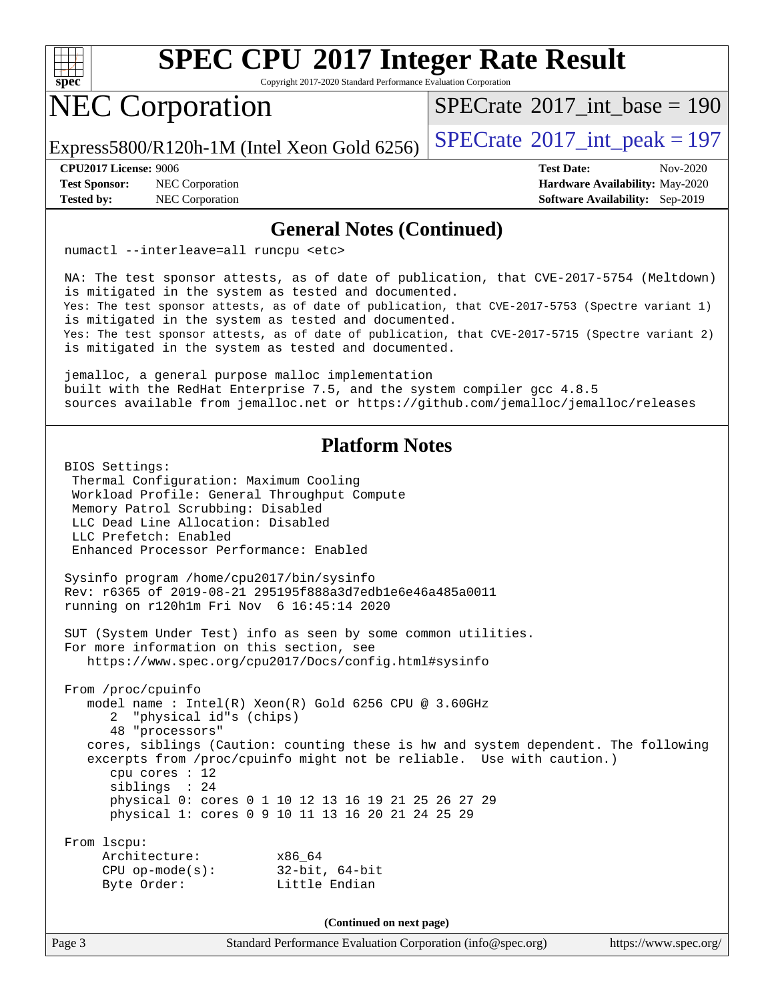

Copyright 2017-2020 Standard Performance Evaluation Corporation

# NEC Corporation

 $SPECTate@2017_int\_base = 190$ 

Express5800/R120h-1M (Intel Xeon Gold 6256)  $\left|$  [SPECrate](http://www.spec.org/auto/cpu2017/Docs/result-fields.html#SPECrate2017intpeak)<sup>®</sup>[2017\\_int\\_peak = 1](http://www.spec.org/auto/cpu2017/Docs/result-fields.html#SPECrate2017intpeak)97

**[Test Sponsor:](http://www.spec.org/auto/cpu2017/Docs/result-fields.html#TestSponsor)** NEC Corporation **[Hardware Availability:](http://www.spec.org/auto/cpu2017/Docs/result-fields.html#HardwareAvailability)** May-2020

**[CPU2017 License:](http://www.spec.org/auto/cpu2017/Docs/result-fields.html#CPU2017License)** 9006 **[Test Date:](http://www.spec.org/auto/cpu2017/Docs/result-fields.html#TestDate)** Nov-2020 **[Tested by:](http://www.spec.org/auto/cpu2017/Docs/result-fields.html#Testedby)** NEC Corporation **[Software Availability:](http://www.spec.org/auto/cpu2017/Docs/result-fields.html#SoftwareAvailability)** Sep-2019

#### **[General Notes \(Continued\)](http://www.spec.org/auto/cpu2017/Docs/result-fields.html#GeneralNotes)**

numactl --interleave=all runcpu <etc>

 NA: The test sponsor attests, as of date of publication, that CVE-2017-5754 (Meltdown) is mitigated in the system as tested and documented. Yes: The test sponsor attests, as of date of publication, that CVE-2017-5753 (Spectre variant 1) is mitigated in the system as tested and documented. Yes: The test sponsor attests, as of date of publication, that CVE-2017-5715 (Spectre variant 2) is mitigated in the system as tested and documented.

 jemalloc, a general purpose malloc implementation built with the RedHat Enterprise 7.5, and the system compiler gcc 4.8.5 sources available from jemalloc.net or<https://github.com/jemalloc/jemalloc/releases>

#### **[Platform Notes](http://www.spec.org/auto/cpu2017/Docs/result-fields.html#PlatformNotes)**

 BIOS Settings: Thermal Configuration: Maximum Cooling Workload Profile: General Throughput Compute Memory Patrol Scrubbing: Disabled LLC Dead Line Allocation: Disabled LLC Prefetch: Enabled Enhanced Processor Performance: Enabled Sysinfo program /home/cpu2017/bin/sysinfo Rev: r6365 of 2019-08-21 295195f888a3d7edb1e6e46a485a0011 running on r120h1m Fri Nov 6 16:45:14 2020 SUT (System Under Test) info as seen by some common utilities. For more information on this section, see <https://www.spec.org/cpu2017/Docs/config.html#sysinfo> From /proc/cpuinfo model name : Intel(R) Xeon(R) Gold 6256 CPU @ 3.60GHz 2 "physical id"s (chips) 48 "processors" cores, siblings (Caution: counting these is hw and system dependent. The following excerpts from /proc/cpuinfo might not be reliable. Use with caution.) cpu cores : 12 siblings : 24 physical 0: cores 0 1 10 12 13 16 19 21 25 26 27 29 physical 1: cores 0 9 10 11 13 16 20 21 24 25 29 From lscpu:

| Architecture:         | x86 64         |
|-----------------------|----------------|
| $CPU$ op-mode( $s$ ): | 32-bit, 64-bit |
| Byte Order:           | Little Endian  |

**(Continued on next page)**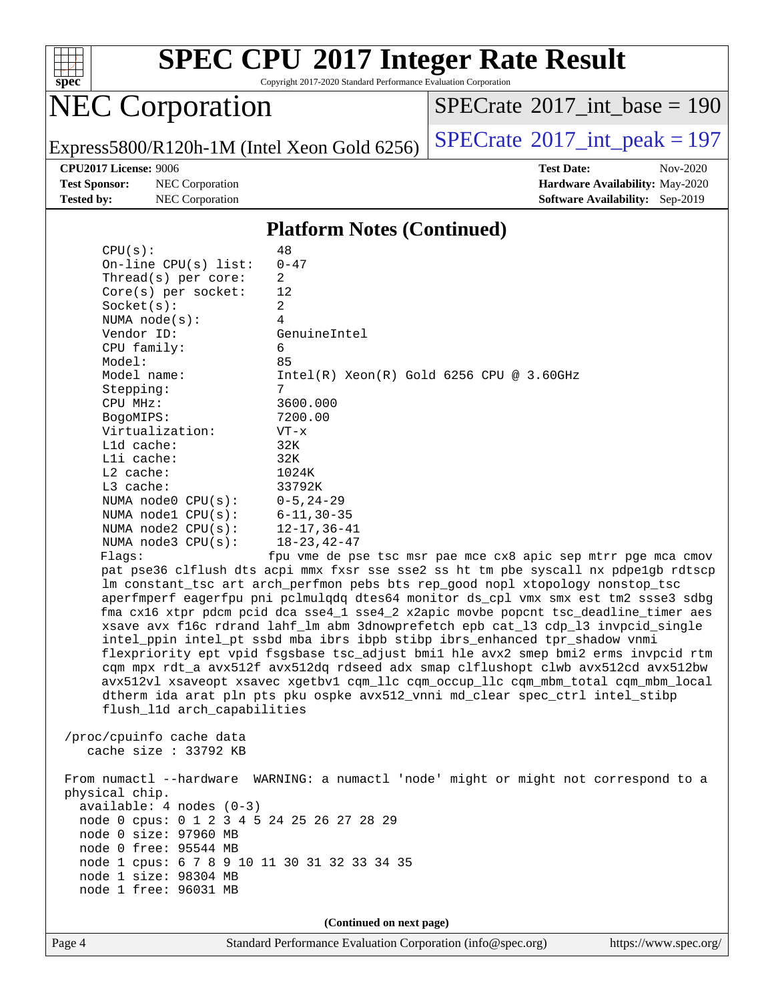

Copyright 2017-2020 Standard Performance Evaluation Corporation

# NEC Corporation

 $SPECrate$ <sup>®</sup>[2017\\_int\\_base =](http://www.spec.org/auto/cpu2017/Docs/result-fields.html#SPECrate2017intbase) 190

Express5800/R120h-1M (Intel Xeon Gold 6256)  $\left|$  [SPECrate](http://www.spec.org/auto/cpu2017/Docs/result-fields.html#SPECrate2017intpeak)<sup>®</sup>[2017\\_int\\_peak = 1](http://www.spec.org/auto/cpu2017/Docs/result-fields.html#SPECrate2017intpeak)97

**[Test Sponsor:](http://www.spec.org/auto/cpu2017/Docs/result-fields.html#TestSponsor)** NEC Corporation **[Hardware Availability:](http://www.spec.org/auto/cpu2017/Docs/result-fields.html#HardwareAvailability)** May-2020

**[CPU2017 License:](http://www.spec.org/auto/cpu2017/Docs/result-fields.html#CPU2017License)** 9006 **[Test Date:](http://www.spec.org/auto/cpu2017/Docs/result-fields.html#TestDate)** Nov-2020 **[Tested by:](http://www.spec.org/auto/cpu2017/Docs/result-fields.html#Testedby)** NEC Corporation **[Software Availability:](http://www.spec.org/auto/cpu2017/Docs/result-fields.html#SoftwareAvailability)** Sep-2019

#### **[Platform Notes \(Continued\)](http://www.spec.org/auto/cpu2017/Docs/result-fields.html#PlatformNotes)**

| CPU(s):                                                                                                                                                                | 48                                                                                   |  |  |  |  |
|------------------------------------------------------------------------------------------------------------------------------------------------------------------------|--------------------------------------------------------------------------------------|--|--|--|--|
| On-line CPU(s) list:                                                                                                                                                   | $0 - 47$                                                                             |  |  |  |  |
| Thread( $s$ ) per core:                                                                                                                                                | $\overline{2}$                                                                       |  |  |  |  |
| Core(s) per socket:                                                                                                                                                    | 12                                                                                   |  |  |  |  |
| Socket(s):                                                                                                                                                             | 2                                                                                    |  |  |  |  |
| NUMA $node(s):$                                                                                                                                                        | 4                                                                                    |  |  |  |  |
| Vendor ID:                                                                                                                                                             | GenuineIntel                                                                         |  |  |  |  |
| CPU family:                                                                                                                                                            | 6                                                                                    |  |  |  |  |
| Model:                                                                                                                                                                 | 85                                                                                   |  |  |  |  |
| Model name:                                                                                                                                                            | $Intel(R)$ Xeon $(R)$ Gold 6256 CPU @ 3.60GHz                                        |  |  |  |  |
| Stepping:                                                                                                                                                              | 7                                                                                    |  |  |  |  |
| CPU MHz:                                                                                                                                                               | 3600.000                                                                             |  |  |  |  |
| BogoMIPS:                                                                                                                                                              | 7200.00                                                                              |  |  |  |  |
| Virtualization:                                                                                                                                                        | $VT - x$                                                                             |  |  |  |  |
| L1d cache:                                                                                                                                                             | 32K                                                                                  |  |  |  |  |
| Lli cache:                                                                                                                                                             | 32K                                                                                  |  |  |  |  |
| $L2$ cache:                                                                                                                                                            | 1024K                                                                                |  |  |  |  |
| L3 cache:                                                                                                                                                              | 33792K                                                                               |  |  |  |  |
| NUMA node0 CPU(s):                                                                                                                                                     | $0 - 5$ , 24-29                                                                      |  |  |  |  |
| NUMA nodel CPU(s):                                                                                                                                                     | $6 - 11, 30 - 35$                                                                    |  |  |  |  |
| NUMA $node2$ $CPU(s):$                                                                                                                                                 | $12 - 17, 36 - 41$                                                                   |  |  |  |  |
| NUMA node3 CPU(s):                                                                                                                                                     | $18 - 23, 42 - 47$                                                                   |  |  |  |  |
| Flags:                                                                                                                                                                 | fpu vme de pse tsc msr pae mce cx8 apic sep mtrr pge mca cmov                        |  |  |  |  |
|                                                                                                                                                                        | pat pse36 clflush dts acpi mmx fxsr sse sse2 ss ht tm pbe syscall nx pdpelgb rdtscp  |  |  |  |  |
|                                                                                                                                                                        | lm constant_tsc art arch_perfmon pebs bts rep_good nopl xtopology nonstop_tsc        |  |  |  |  |
| aperfmperf eagerfpu pni pclmulqdq dtes64 monitor ds_cpl vmx smx est tm2 ssse3 sdbg                                                                                     |                                                                                      |  |  |  |  |
|                                                                                                                                                                        | fma cx16 xtpr pdcm pcid dca sse4_1 sse4_2 x2apic movbe popcnt tsc_deadline_timer aes |  |  |  |  |
|                                                                                                                                                                        | xsave avx f16c rdrand lahf_lm abm 3dnowprefetch epb cat_13 cdp_13 invpcid_single     |  |  |  |  |
|                                                                                                                                                                        | intel_ppin intel_pt ssbd mba ibrs ibpb stibp ibrs_enhanced tpr_shadow vnmi           |  |  |  |  |
| flexpriority ept vpid fsgsbase tsc_adjust bmil hle avx2 smep bmi2 erms invpcid rtm<br>cqm mpx rdt_a avx512f avx512dq rdseed adx smap clflushopt clwb avx512cd avx512bw |                                                                                      |  |  |  |  |
|                                                                                                                                                                        |                                                                                      |  |  |  |  |
|                                                                                                                                                                        | avx512vl xsaveopt xsavec xgetbvl cqm_llc cqm_occup_llc cqm_mbm_total cqm_mbm_local   |  |  |  |  |
|                                                                                                                                                                        | dtherm ida arat pln pts pku ospke avx512_vnni md_clear spec_ctrl intel_stibp         |  |  |  |  |
| flush_l1d arch_capabilities                                                                                                                                            |                                                                                      |  |  |  |  |
|                                                                                                                                                                        |                                                                                      |  |  |  |  |
| /proc/cpuinfo cache data                                                                                                                                               |                                                                                      |  |  |  |  |
| cache size : 33792 KB                                                                                                                                                  |                                                                                      |  |  |  |  |
|                                                                                                                                                                        | From numactl --hardware WARNING: a numactl 'node' might or might not correspond to a |  |  |  |  |
| physical chip.                                                                                                                                                         |                                                                                      |  |  |  |  |
|                                                                                                                                                                        |                                                                                      |  |  |  |  |
| available: 4 nodes (0-3)<br>node 0 cpus: 0 1 2 3 4 5 24 25 26 27 28 29                                                                                                 |                                                                                      |  |  |  |  |
| node 0 size: 97960 MB                                                                                                                                                  |                                                                                      |  |  |  |  |
| node 0 free: 95544 MB                                                                                                                                                  |                                                                                      |  |  |  |  |
| node 1 cpus: 6 7 8 9 10 11 30 31 32 33 34 35                                                                                                                           |                                                                                      |  |  |  |  |
| node 1 size: 98304 MB                                                                                                                                                  |                                                                                      |  |  |  |  |
| node 1 free: 96031 MB                                                                                                                                                  |                                                                                      |  |  |  |  |
|                                                                                                                                                                        |                                                                                      |  |  |  |  |
| (Continued on next page)                                                                                                                                               |                                                                                      |  |  |  |  |
|                                                                                                                                                                        |                                                                                      |  |  |  |  |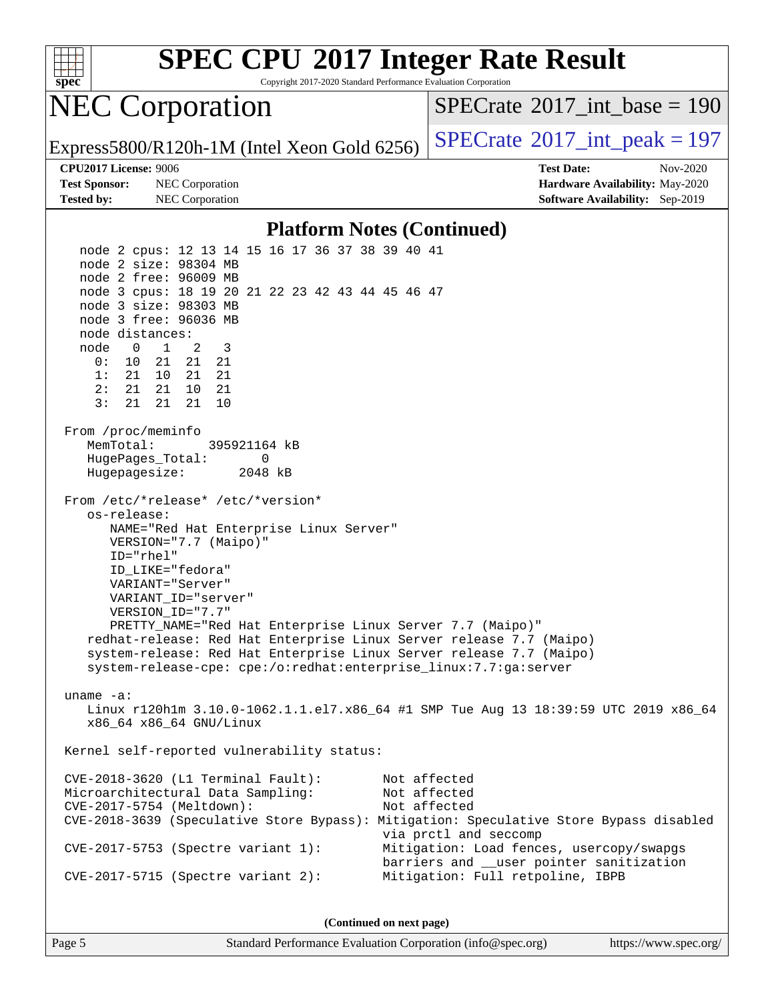

Copyright 2017-2020 Standard Performance Evaluation Corporation

## NEC Corporation

 $SPECTate$ <sup>®</sup>[2017\\_int\\_base =](http://www.spec.org/auto/cpu2017/Docs/result-fields.html#SPECrate2017intbase) 190

Express5800/R120h-1M (Intel Xeon Gold 6256)  $\left|$  [SPECrate](http://www.spec.org/auto/cpu2017/Docs/result-fields.html#SPECrate2017intpeak)<sup>®</sup>[2017\\_int\\_peak = 1](http://www.spec.org/auto/cpu2017/Docs/result-fields.html#SPECrate2017intpeak)97

**[Test Sponsor:](http://www.spec.org/auto/cpu2017/Docs/result-fields.html#TestSponsor)** NEC Corporation **[Hardware Availability:](http://www.spec.org/auto/cpu2017/Docs/result-fields.html#HardwareAvailability)** May-2020 **[Tested by:](http://www.spec.org/auto/cpu2017/Docs/result-fields.html#Testedby)** NEC Corporation **[Software Availability:](http://www.spec.org/auto/cpu2017/Docs/result-fields.html#SoftwareAvailability)** Sep-2019

**[CPU2017 License:](http://www.spec.org/auto/cpu2017/Docs/result-fields.html#CPU2017License)** 9006 **[Test Date:](http://www.spec.org/auto/cpu2017/Docs/result-fields.html#TestDate)** Nov-2020

#### **[Platform Notes \(Continued\)](http://www.spec.org/auto/cpu2017/Docs/result-fields.html#PlatformNotes)**

 node 2 cpus: 12 13 14 15 16 17 36 37 38 39 40 41 node 2 size: 98304 MB node 2 free: 96009 MB node 3 cpus: 18 19 20 21 22 23 42 43 44 45 46 47 node 3 size: 98303 MB node 3 free: 96036 MB node distances: node 0 1 2 3 0: 10 21 21 21 1: 21 10 21 21 2: 21 21 10 21 3: 21 21 21 10 From /proc/meminfo MemTotal: 395921164 kB HugePages\_Total: 0 Hugepagesize: 2048 kB From /etc/\*release\* /etc/\*version\* os-release: NAME="Red Hat Enterprise Linux Server" VERSION="7.7 (Maipo)" ID="rhel" ID\_LIKE="fedora" VARIANT="Server" VARIANT\_ID="server" VERSION\_ID="7.7" PRETTY\_NAME="Red Hat Enterprise Linux Server 7.7 (Maipo)" redhat-release: Red Hat Enterprise Linux Server release 7.7 (Maipo) system-release: Red Hat Enterprise Linux Server release 7.7 (Maipo) system-release-cpe: cpe:/o:redhat:enterprise\_linux:7.7:ga:server uname -a: Linux r120h1m 3.10.0-1062.1.1.el7.x86\_64 #1 SMP Tue Aug 13 18:39:59 UTC 2019 x86\_64 x86\_64 x86\_64 GNU/Linux Kernel self-reported vulnerability status: CVE-2018-3620 (L1 Terminal Fault): Not affected Microarchitectural Data Sampling: Not affected CVE-2017-5754 (Meltdown): Not affected CVE-2018-3639 (Speculative Store Bypass): Mitigation: Speculative Store Bypass disabled via prctl and seccomp CVE-2017-5753 (Spectre variant 1): Mitigation: Load fences, usercopy/swapgs barriers and \_\_user pointer sanitization CVE-2017-5715 (Spectre variant 2): Mitigation: Full retpoline, IBPB

**(Continued on next page)**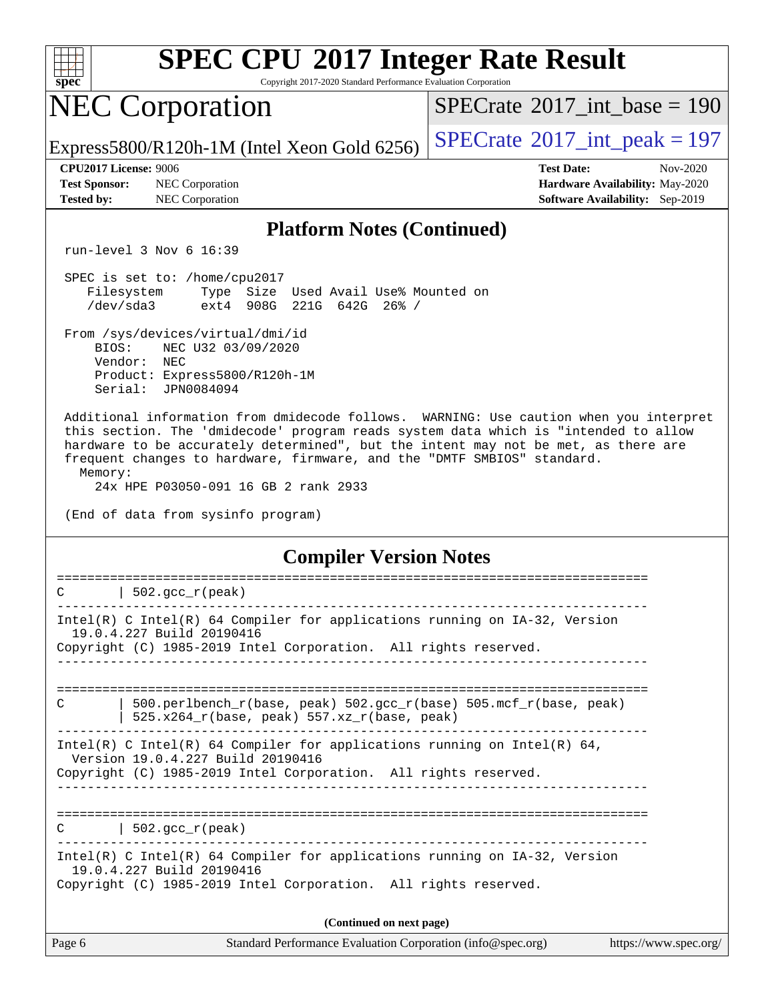

Copyright 2017-2020 Standard Performance Evaluation Corporation

## NEC Corporation

 $SPECTate@2017_int\_base = 190$ 

Express5800/R120h-1M (Intel Xeon Gold 6256)  $\left|$  [SPECrate](http://www.spec.org/auto/cpu2017/Docs/result-fields.html#SPECrate2017intpeak)<sup>®</sup>[2017\\_int\\_peak = 1](http://www.spec.org/auto/cpu2017/Docs/result-fields.html#SPECrate2017intpeak)97

**[Test Sponsor:](http://www.spec.org/auto/cpu2017/Docs/result-fields.html#TestSponsor)** NEC Corporation **[Hardware Availability:](http://www.spec.org/auto/cpu2017/Docs/result-fields.html#HardwareAvailability)** May-2020 **[Tested by:](http://www.spec.org/auto/cpu2017/Docs/result-fields.html#Testedby)** NEC Corporation **[Software Availability:](http://www.spec.org/auto/cpu2017/Docs/result-fields.html#SoftwareAvailability)** Sep-2019

**[CPU2017 License:](http://www.spec.org/auto/cpu2017/Docs/result-fields.html#CPU2017License)** 9006 **[Test Date:](http://www.spec.org/auto/cpu2017/Docs/result-fields.html#TestDate)** Nov-2020

#### **[Platform Notes \(Continued\)](http://www.spec.org/auto/cpu2017/Docs/result-fields.html#PlatformNotes)**

run-level 3 Nov 6 16:39

 SPEC is set to: /home/cpu2017 Filesystem Type Size Used Avail Use% Mounted on /dev/sda3 ext4 908G 221G 642G 26% /

 From /sys/devices/virtual/dmi/id BIOS: NEC U32 03/09/2020 Vendor: NEC Product: Express5800/R120h-1M Serial: JPN0084094

 Additional information from dmidecode follows. WARNING: Use caution when you interpret this section. The 'dmidecode' program reads system data which is "intended to allow hardware to be accurately determined", but the intent may not be met, as there are frequent changes to hardware, firmware, and the "DMTF SMBIOS" standard. Memory:

24x HPE P03050-091 16 GB 2 rank 2933

(End of data from sysinfo program)

**[Compiler Version Notes](http://www.spec.org/auto/cpu2017/Docs/result-fields.html#CompilerVersionNotes)**

| Page 6 | Standard Performance Evaluation Corporation (info@spec.org)                                                                                                                      | https://www.spec.org/ |
|--------|----------------------------------------------------------------------------------------------------------------------------------------------------------------------------------|-----------------------|
|        | (Continued on next page)                                                                                                                                                         |                       |
|        | Intel(R) C Intel(R) 64 Compiler for applications running on $IA-32$ , Version<br>19.0.4.227 Build 20190416<br>Copyright (C) 1985-2019 Intel Corporation. All rights reserved.    |                       |
|        | $C$   502.gcc_r(peak)                                                                                                                                                            |                       |
|        | Intel(R) C Intel(R) 64 Compiler for applications running on Intel(R) 64,<br>Version 19.0.4.227 Build 20190416<br>Copyright (C) 1985-2019 Intel Corporation. All rights reserved. |                       |
| C      | 500.perlbench r(base, peak) 502.gcc r(base) 505.mcf r(base, peak)<br>525.x264_r(base, peak) 557.xz_r(base, peak)                                                                 |                       |
|        |                                                                                                                                                                                  |                       |
|        | Intel(R) C Intel(R) 64 Compiler for applications running on $IA-32$ , Version<br>19.0.4.227 Build 20190416<br>Copyright (C) 1985-2019 Intel Corporation. All rights reserved.    |                       |
| C      | $\vert$ 502.gcc_r(peak)                                                                                                                                                          |                       |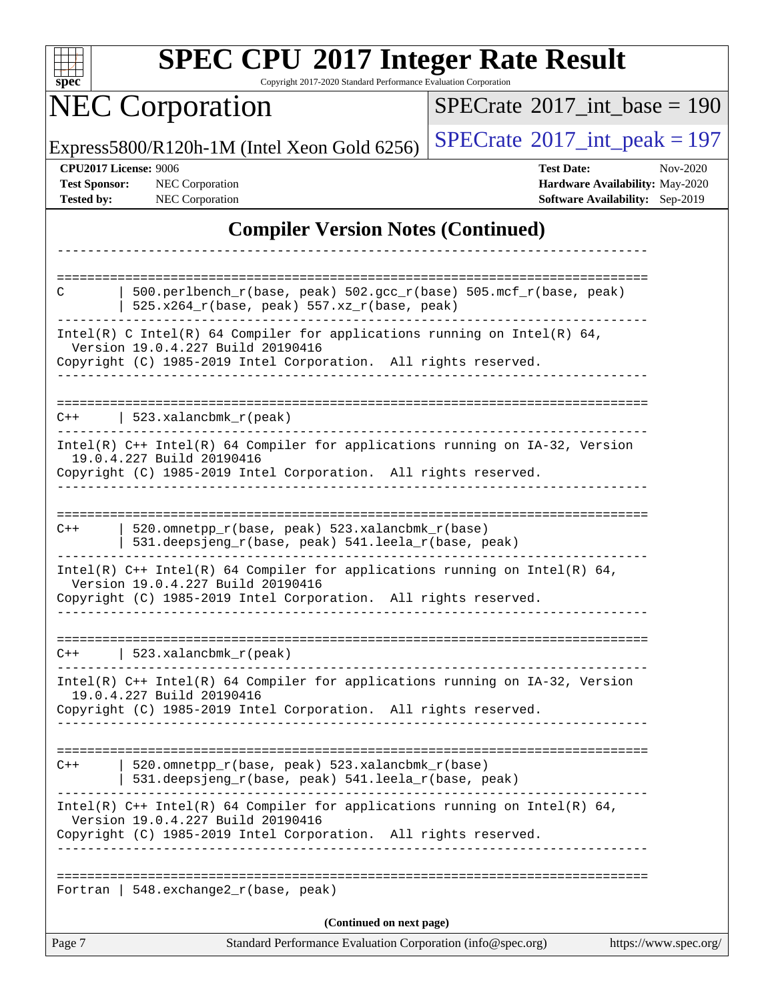| S<br>e<br>11<br>U |  |  |  |  |
|-------------------|--|--|--|--|

Copyright 2017-2020 Standard Performance Evaluation Corporation

# **NEC Corporation**

 $SPECrate$ <sup>®</sup>[2017\\_int\\_base =](http://www.spec.org/auto/cpu2017/Docs/result-fields.html#SPECrate2017intbase) 190

Express5800/R120h-1M (Intel Xeon Gold 6256) [SPECrate](http://www.spec.org/auto/cpu2017/Docs/result-fields.html#SPECrate2017intpeak)<sup>®</sup>[2017\\_int\\_peak = 1](http://www.spec.org/auto/cpu2017/Docs/result-fields.html#SPECrate2017intpeak)97

**[CPU2017 License:](http://www.spec.org/auto/cpu2017/Docs/result-fields.html#CPU2017License)** 9006 **[Test Date:](http://www.spec.org/auto/cpu2017/Docs/result-fields.html#TestDate)** Nov-2020 **[Test Sponsor:](http://www.spec.org/auto/cpu2017/Docs/result-fields.html#TestSponsor)** NEC Corporation **[Hardware Availability:](http://www.spec.org/auto/cpu2017/Docs/result-fields.html#HardwareAvailability)** May-2020 **[Tested by:](http://www.spec.org/auto/cpu2017/Docs/result-fields.html#Testedby)** NEC Corporation **[Software Availability:](http://www.spec.org/auto/cpu2017/Docs/result-fields.html#SoftwareAvailability)** Sep-2019

#### **[Compiler Version Notes \(Continued\)](http://www.spec.org/auto/cpu2017/Docs/result-fields.html#CompilerVersionNotes)**

| 520.omnetpp_r(base, peak) 523.xalancbmk_r(base)<br>531.deepsjeng_r(base, peak) 541.leela_r(base, peak)<br>Intel(R) $C++$ Intel(R) 64 Compiler for applications running on Intel(R) 64,<br>Version 19.0.4.227 Build 20190416<br>Copyright (C) 1985-2019 Intel Corporation. All rights reserved.<br>  $548.$ exchange $2_r$ (base, peak)<br>(Continued on next page) |
|--------------------------------------------------------------------------------------------------------------------------------------------------------------------------------------------------------------------------------------------------------------------------------------------------------------------------------------------------------------------|
|                                                                                                                                                                                                                                                                                                                                                                    |
|                                                                                                                                                                                                                                                                                                                                                                    |
|                                                                                                                                                                                                                                                                                                                                                                    |
|                                                                                                                                                                                                                                                                                                                                                                    |
|                                                                                                                                                                                                                                                                                                                                                                    |
| $Intel(R)$ C++ Intel(R) 64 Compiler for applications running on IA-32, Version<br>19.0.4.227 Build 20190416<br>Copyright (C) 1985-2019 Intel Corporation. All rights reserved.                                                                                                                                                                                     |
| $C++$   523.xalancbmk_r(peak)                                                                                                                                                                                                                                                                                                                                      |
| Intel(R) $C++$ Intel(R) 64 Compiler for applications running on Intel(R) 64,<br>Version 19.0.4.227 Build 20190416<br>Copyright (C) 1985-2019 Intel Corporation. All rights reserved.                                                                                                                                                                               |
| 520.omnetpp_r(base, peak) 523.xalancbmk_r(base)<br>531.deepsjeng_r(base, peak) 541.leela_r(base, peak)                                                                                                                                                                                                                                                             |
| 19.0.4.227 Build 20190416<br>Copyright (C) 1985-2019 Intel Corporation. All rights reserved.<br>-------------                                                                                                                                                                                                                                                      |
| Intel(R) C++ Intel(R) 64 Compiler for applications running on IA-32, Version                                                                                                                                                                                                                                                                                       |
| $C++$   523.xalancbmk_r(peak)                                                                                                                                                                                                                                                                                                                                      |
| Intel(R) C Intel(R) 64 Compiler for applications running on Intel(R) 64,<br>Version 19.0.4.227 Build 20190416<br>Copyright (C) 1985-2019 Intel Corporation. All rights reserved.<br>ب کا کا کا کا کا کا                                                                                                                                                            |
| $525.x264_r(base, peak) 557.xz_r(base, peak)$                                                                                                                                                                                                                                                                                                                      |
| 500.perlbench_r(base, peak) 502.gcc_r(base) 505.mcf_r(base, peak)                                                                                                                                                                                                                                                                                                  |
|                                                                                                                                                                                                                                                                                                                                                                    |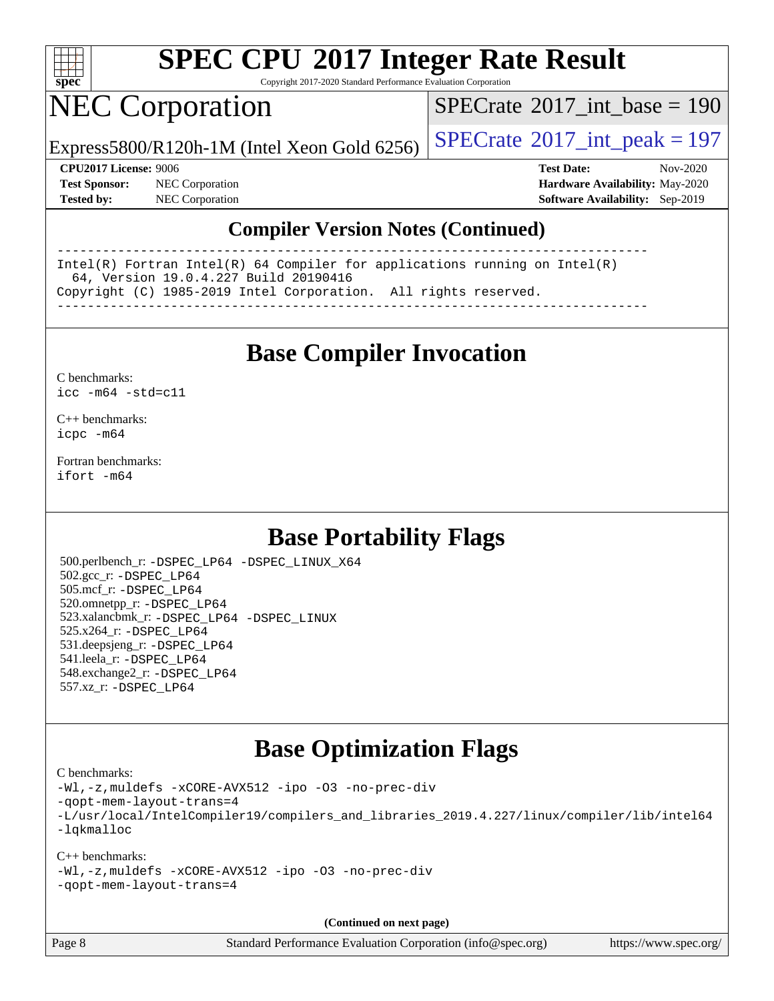

Copyright 2017-2020 Standard Performance Evaluation Corporation

# NEC Corporation

 $SPECTate@2017_int\_base = 190$ 

Express5800/R120h-1M (Intel Xeon Gold 6256)  $\left|$  [SPECrate](http://www.spec.org/auto/cpu2017/Docs/result-fields.html#SPECrate2017intpeak)<sup>®</sup>[2017\\_int\\_peak = 1](http://www.spec.org/auto/cpu2017/Docs/result-fields.html#SPECrate2017intpeak)97

**[Test Sponsor:](http://www.spec.org/auto/cpu2017/Docs/result-fields.html#TestSponsor)** NEC Corporation **[Hardware Availability:](http://www.spec.org/auto/cpu2017/Docs/result-fields.html#HardwareAvailability)** May-2020

**[CPU2017 License:](http://www.spec.org/auto/cpu2017/Docs/result-fields.html#CPU2017License)** 9006 **[Test Date:](http://www.spec.org/auto/cpu2017/Docs/result-fields.html#TestDate)** Nov-2020 **[Tested by:](http://www.spec.org/auto/cpu2017/Docs/result-fields.html#Testedby)** NEC Corporation **[Software Availability:](http://www.spec.org/auto/cpu2017/Docs/result-fields.html#SoftwareAvailability)** Sep-2019

#### **[Compiler Version Notes \(Continued\)](http://www.spec.org/auto/cpu2017/Docs/result-fields.html#CompilerVersionNotes)**

------------------------------------------------------------------------------ Intel(R) Fortran Intel(R) 64 Compiler for applications running on Intel(R) 64, Version 19.0.4.227 Build 20190416 Copyright (C) 1985-2019 Intel Corporation. All rights reserved. ------------------------------------------------------------------------------

**[Base Compiler Invocation](http://www.spec.org/auto/cpu2017/Docs/result-fields.html#BaseCompilerInvocation)**

[C benchmarks](http://www.spec.org/auto/cpu2017/Docs/result-fields.html#Cbenchmarks): [icc -m64 -std=c11](http://www.spec.org/cpu2017/results/res2020q4/cpu2017-20201109-24353.flags.html#user_CCbase_intel_icc_64bit_c11_33ee0cdaae7deeeab2a9725423ba97205ce30f63b9926c2519791662299b76a0318f32ddfffdc46587804de3178b4f9328c46fa7c2b0cd779d7a61945c91cd35)

[C++ benchmarks:](http://www.spec.org/auto/cpu2017/Docs/result-fields.html#CXXbenchmarks) [icpc -m64](http://www.spec.org/cpu2017/results/res2020q4/cpu2017-20201109-24353.flags.html#user_CXXbase_intel_icpc_64bit_4ecb2543ae3f1412ef961e0650ca070fec7b7afdcd6ed48761b84423119d1bf6bdf5cad15b44d48e7256388bc77273b966e5eb805aefd121eb22e9299b2ec9d9)

[Fortran benchmarks](http://www.spec.org/auto/cpu2017/Docs/result-fields.html#Fortranbenchmarks): [ifort -m64](http://www.spec.org/cpu2017/results/res2020q4/cpu2017-20201109-24353.flags.html#user_FCbase_intel_ifort_64bit_24f2bb282fbaeffd6157abe4f878425411749daecae9a33200eee2bee2fe76f3b89351d69a8130dd5949958ce389cf37ff59a95e7a40d588e8d3a57e0c3fd751)

#### **[Base Portability Flags](http://www.spec.org/auto/cpu2017/Docs/result-fields.html#BasePortabilityFlags)**

 500.perlbench\_r: [-DSPEC\\_LP64](http://www.spec.org/cpu2017/results/res2020q4/cpu2017-20201109-24353.flags.html#b500.perlbench_r_basePORTABILITY_DSPEC_LP64) [-DSPEC\\_LINUX\\_X64](http://www.spec.org/cpu2017/results/res2020q4/cpu2017-20201109-24353.flags.html#b500.perlbench_r_baseCPORTABILITY_DSPEC_LINUX_X64) 502.gcc\_r: [-DSPEC\\_LP64](http://www.spec.org/cpu2017/results/res2020q4/cpu2017-20201109-24353.flags.html#suite_basePORTABILITY502_gcc_r_DSPEC_LP64) 505.mcf\_r: [-DSPEC\\_LP64](http://www.spec.org/cpu2017/results/res2020q4/cpu2017-20201109-24353.flags.html#suite_basePORTABILITY505_mcf_r_DSPEC_LP64) 520.omnetpp\_r: [-DSPEC\\_LP64](http://www.spec.org/cpu2017/results/res2020q4/cpu2017-20201109-24353.flags.html#suite_basePORTABILITY520_omnetpp_r_DSPEC_LP64) 523.xalancbmk\_r: [-DSPEC\\_LP64](http://www.spec.org/cpu2017/results/res2020q4/cpu2017-20201109-24353.flags.html#suite_basePORTABILITY523_xalancbmk_r_DSPEC_LP64) [-DSPEC\\_LINUX](http://www.spec.org/cpu2017/results/res2020q4/cpu2017-20201109-24353.flags.html#b523.xalancbmk_r_baseCXXPORTABILITY_DSPEC_LINUX) 525.x264\_r: [-DSPEC\\_LP64](http://www.spec.org/cpu2017/results/res2020q4/cpu2017-20201109-24353.flags.html#suite_basePORTABILITY525_x264_r_DSPEC_LP64) 531.deepsjeng\_r: [-DSPEC\\_LP64](http://www.spec.org/cpu2017/results/res2020q4/cpu2017-20201109-24353.flags.html#suite_basePORTABILITY531_deepsjeng_r_DSPEC_LP64) 541.leela\_r: [-DSPEC\\_LP64](http://www.spec.org/cpu2017/results/res2020q4/cpu2017-20201109-24353.flags.html#suite_basePORTABILITY541_leela_r_DSPEC_LP64) 548.exchange2\_r: [-DSPEC\\_LP64](http://www.spec.org/cpu2017/results/res2020q4/cpu2017-20201109-24353.flags.html#suite_basePORTABILITY548_exchange2_r_DSPEC_LP64) 557.xz\_r: [-DSPEC\\_LP64](http://www.spec.org/cpu2017/results/res2020q4/cpu2017-20201109-24353.flags.html#suite_basePORTABILITY557_xz_r_DSPEC_LP64)

#### **[Base Optimization Flags](http://www.spec.org/auto/cpu2017/Docs/result-fields.html#BaseOptimizationFlags)**

[C benchmarks](http://www.spec.org/auto/cpu2017/Docs/result-fields.html#Cbenchmarks):

[-Wl,-z,muldefs](http://www.spec.org/cpu2017/results/res2020q4/cpu2017-20201109-24353.flags.html#user_CCbase_link_force_multiple1_b4cbdb97b34bdee9ceefcfe54f4c8ea74255f0b02a4b23e853cdb0e18eb4525ac79b5a88067c842dd0ee6996c24547a27a4b99331201badda8798ef8a743f577) [-xCORE-AVX512](http://www.spec.org/cpu2017/results/res2020q4/cpu2017-20201109-24353.flags.html#user_CCbase_f-xCORE-AVX512) [-ipo](http://www.spec.org/cpu2017/results/res2020q4/cpu2017-20201109-24353.flags.html#user_CCbase_f-ipo) [-O3](http://www.spec.org/cpu2017/results/res2020q4/cpu2017-20201109-24353.flags.html#user_CCbase_f-O3) [-no-prec-div](http://www.spec.org/cpu2017/results/res2020q4/cpu2017-20201109-24353.flags.html#user_CCbase_f-no-prec-div) [-qopt-mem-layout-trans=4](http://www.spec.org/cpu2017/results/res2020q4/cpu2017-20201109-24353.flags.html#user_CCbase_f-qopt-mem-layout-trans_fa39e755916c150a61361b7846f310bcdf6f04e385ef281cadf3647acec3f0ae266d1a1d22d972a7087a248fd4e6ca390a3634700869573d231a252c784941a8) [-L/usr/local/IntelCompiler19/compilers\\_and\\_libraries\\_2019.4.227/linux/compiler/lib/intel64](http://www.spec.org/cpu2017/results/res2020q4/cpu2017-20201109-24353.flags.html#user_CCbase_qkmalloc_link_0ffe0cb02c68ef1b443a077c7888c10c67ca0d1dd7138472156f06a085bbad385f78d49618ad55dca9db3b1608e84afc2f69b4003b1d1ca498a9fc1462ccefda) [-lqkmalloc](http://www.spec.org/cpu2017/results/res2020q4/cpu2017-20201109-24353.flags.html#user_CCbase_qkmalloc_link_lib_79a818439969f771c6bc311cfd333c00fc099dad35c030f5aab9dda831713d2015205805422f83de8875488a2991c0a156aaa600e1f9138f8fc37004abc96dc5)

[C++ benchmarks](http://www.spec.org/auto/cpu2017/Docs/result-fields.html#CXXbenchmarks): [-Wl,-z,muldefs](http://www.spec.org/cpu2017/results/res2020q4/cpu2017-20201109-24353.flags.html#user_CXXbase_link_force_multiple1_b4cbdb97b34bdee9ceefcfe54f4c8ea74255f0b02a4b23e853cdb0e18eb4525ac79b5a88067c842dd0ee6996c24547a27a4b99331201badda8798ef8a743f577) [-xCORE-AVX512](http://www.spec.org/cpu2017/results/res2020q4/cpu2017-20201109-24353.flags.html#user_CXXbase_f-xCORE-AVX512) [-ipo](http://www.spec.org/cpu2017/results/res2020q4/cpu2017-20201109-24353.flags.html#user_CXXbase_f-ipo) [-O3](http://www.spec.org/cpu2017/results/res2020q4/cpu2017-20201109-24353.flags.html#user_CXXbase_f-O3) [-no-prec-div](http://www.spec.org/cpu2017/results/res2020q4/cpu2017-20201109-24353.flags.html#user_CXXbase_f-no-prec-div) [-qopt-mem-layout-trans=4](http://www.spec.org/cpu2017/results/res2020q4/cpu2017-20201109-24353.flags.html#user_CXXbase_f-qopt-mem-layout-trans_fa39e755916c150a61361b7846f310bcdf6f04e385ef281cadf3647acec3f0ae266d1a1d22d972a7087a248fd4e6ca390a3634700869573d231a252c784941a8)

**(Continued on next page)**

Page 8 Standard Performance Evaluation Corporation [\(info@spec.org\)](mailto:info@spec.org) <https://www.spec.org/>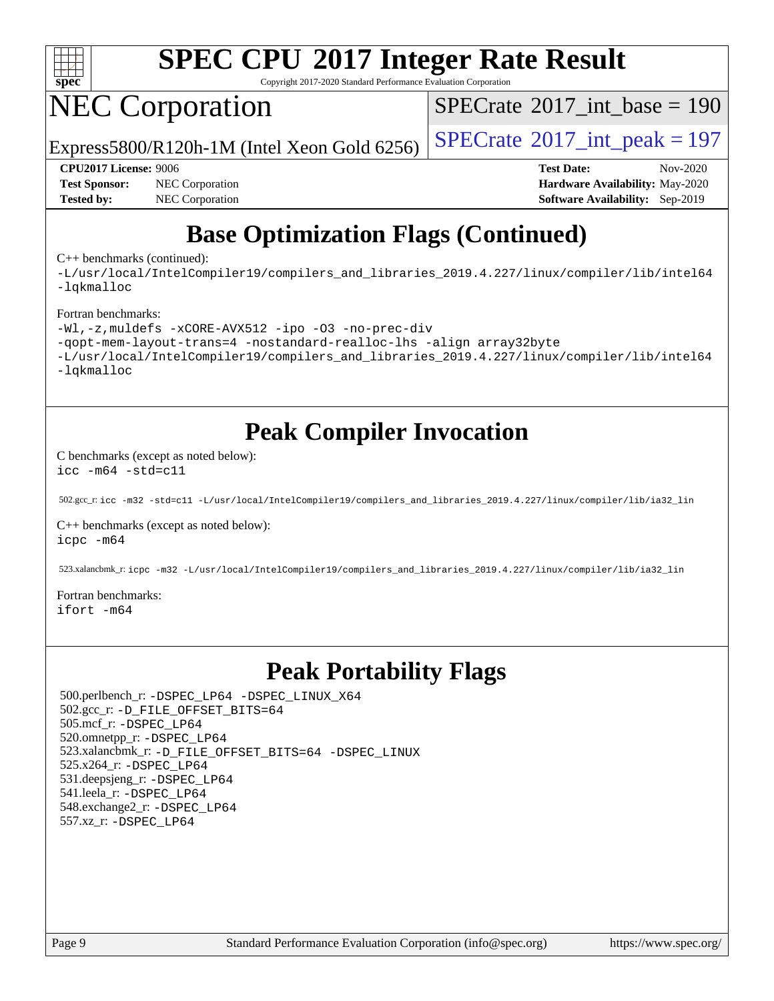

Copyright 2017-2020 Standard Performance Evaluation Corporation

# NEC Corporation

 $SPECTate@2017_int\_base = 190$ 

Express5800/R120h-1M (Intel Xeon Gold 6256)  $\left|$  [SPECrate](http://www.spec.org/auto/cpu2017/Docs/result-fields.html#SPECrate2017intpeak)<sup>®</sup>[2017\\_int\\_peak = 1](http://www.spec.org/auto/cpu2017/Docs/result-fields.html#SPECrate2017intpeak)97

**[Test Sponsor:](http://www.spec.org/auto/cpu2017/Docs/result-fields.html#TestSponsor)** NEC Corporation **[Hardware Availability:](http://www.spec.org/auto/cpu2017/Docs/result-fields.html#HardwareAvailability)** May-2020 **[Tested by:](http://www.spec.org/auto/cpu2017/Docs/result-fields.html#Testedby)** NEC Corporation **[Software Availability:](http://www.spec.org/auto/cpu2017/Docs/result-fields.html#SoftwareAvailability)** Sep-2019

**[CPU2017 License:](http://www.spec.org/auto/cpu2017/Docs/result-fields.html#CPU2017License)** 9006 **[Test Date:](http://www.spec.org/auto/cpu2017/Docs/result-fields.html#TestDate)** Nov-2020

### **[Base Optimization Flags \(Continued\)](http://www.spec.org/auto/cpu2017/Docs/result-fields.html#BaseOptimizationFlags)**

[C++ benchmarks](http://www.spec.org/auto/cpu2017/Docs/result-fields.html#CXXbenchmarks) (continued):

[-L/usr/local/IntelCompiler19/compilers\\_and\\_libraries\\_2019.4.227/linux/compiler/lib/intel64](http://www.spec.org/cpu2017/results/res2020q4/cpu2017-20201109-24353.flags.html#user_CXXbase_qkmalloc_link_0ffe0cb02c68ef1b443a077c7888c10c67ca0d1dd7138472156f06a085bbad385f78d49618ad55dca9db3b1608e84afc2f69b4003b1d1ca498a9fc1462ccefda) [-lqkmalloc](http://www.spec.org/cpu2017/results/res2020q4/cpu2017-20201109-24353.flags.html#user_CXXbase_qkmalloc_link_lib_79a818439969f771c6bc311cfd333c00fc099dad35c030f5aab9dda831713d2015205805422f83de8875488a2991c0a156aaa600e1f9138f8fc37004abc96dc5)

#### [Fortran benchmarks:](http://www.spec.org/auto/cpu2017/Docs/result-fields.html#Fortranbenchmarks)

```
-Wl,-z,muldefs -xCORE-AVX512 -ipo -O3 -no-prec-div
-qopt-mem-layout-trans=4 -nostandard-realloc-lhs -align array32byte
-L/usr/local/IntelCompiler19/compilers_and_libraries_2019.4.227/linux/compiler/lib/intel64
-lqkmalloc
```
#### **[Peak Compiler Invocation](http://www.spec.org/auto/cpu2017/Docs/result-fields.html#PeakCompilerInvocation)**

[C benchmarks \(except as noted below\)](http://www.spec.org/auto/cpu2017/Docs/result-fields.html#Cbenchmarksexceptasnotedbelow): [icc -m64 -std=c11](http://www.spec.org/cpu2017/results/res2020q4/cpu2017-20201109-24353.flags.html#user_CCpeak_intel_icc_64bit_c11_33ee0cdaae7deeeab2a9725423ba97205ce30f63b9926c2519791662299b76a0318f32ddfffdc46587804de3178b4f9328c46fa7c2b0cd779d7a61945c91cd35)

502.gcc\_r: [icc -m32 -std=c11 -L/usr/local/IntelCompiler19/compilers\\_and\\_libraries\\_2019.4.227/linux/compiler/lib/ia32\\_lin](http://www.spec.org/cpu2017/results/res2020q4/cpu2017-20201109-24353.flags.html#user_peakCCLD502_gcc_r_intel_icc_38a193a897536fa645efb1dc6ac2bea2bddbbe56f130e144a606d1b2649003f27c79f8814020c1f9355cbbf0d7ab0d194a7a979ee1e2a95641bbb8cf571aac7b)

[C++ benchmarks \(except as noted below\)](http://www.spec.org/auto/cpu2017/Docs/result-fields.html#CXXbenchmarksexceptasnotedbelow): [icpc -m64](http://www.spec.org/cpu2017/results/res2020q4/cpu2017-20201109-24353.flags.html#user_CXXpeak_intel_icpc_64bit_4ecb2543ae3f1412ef961e0650ca070fec7b7afdcd6ed48761b84423119d1bf6bdf5cad15b44d48e7256388bc77273b966e5eb805aefd121eb22e9299b2ec9d9)

523.xalancbmk\_r: [icpc -m32 -L/usr/local/IntelCompiler19/compilers\\_and\\_libraries\\_2019.4.227/linux/compiler/lib/ia32\\_lin](http://www.spec.org/cpu2017/results/res2020q4/cpu2017-20201109-24353.flags.html#user_peakCXXLD523_xalancbmk_r_intel_icpc_840f965b38320ad10acba6032d6ca4c816e722c432c250f3408feae347068ba449f694544a48cf12cd3bde3495e328e6747ab0f629c2925d3062e2ee144af951)

[Fortran benchmarks](http://www.spec.org/auto/cpu2017/Docs/result-fields.html#Fortranbenchmarks): [ifort -m64](http://www.spec.org/cpu2017/results/res2020q4/cpu2017-20201109-24353.flags.html#user_FCpeak_intel_ifort_64bit_24f2bb282fbaeffd6157abe4f878425411749daecae9a33200eee2bee2fe76f3b89351d69a8130dd5949958ce389cf37ff59a95e7a40d588e8d3a57e0c3fd751)

#### **[Peak Portability Flags](http://www.spec.org/auto/cpu2017/Docs/result-fields.html#PeakPortabilityFlags)**

 500.perlbench\_r: [-DSPEC\\_LP64](http://www.spec.org/cpu2017/results/res2020q4/cpu2017-20201109-24353.flags.html#b500.perlbench_r_peakPORTABILITY_DSPEC_LP64) [-DSPEC\\_LINUX\\_X64](http://www.spec.org/cpu2017/results/res2020q4/cpu2017-20201109-24353.flags.html#b500.perlbench_r_peakCPORTABILITY_DSPEC_LINUX_X64) 502.gcc\_r: [-D\\_FILE\\_OFFSET\\_BITS=64](http://www.spec.org/cpu2017/results/res2020q4/cpu2017-20201109-24353.flags.html#user_peakPORTABILITY502_gcc_r_file_offset_bits_64_5ae949a99b284ddf4e95728d47cb0843d81b2eb0e18bdfe74bbf0f61d0b064f4bda2f10ea5eb90e1dcab0e84dbc592acfc5018bc955c18609f94ddb8d550002c) 505.mcf\_r: [-DSPEC\\_LP64](http://www.spec.org/cpu2017/results/res2020q4/cpu2017-20201109-24353.flags.html#suite_peakPORTABILITY505_mcf_r_DSPEC_LP64) 520.omnetpp\_r: [-DSPEC\\_LP64](http://www.spec.org/cpu2017/results/res2020q4/cpu2017-20201109-24353.flags.html#suite_peakPORTABILITY520_omnetpp_r_DSPEC_LP64) 523.xalancbmk\_r: [-D\\_FILE\\_OFFSET\\_BITS=64](http://www.spec.org/cpu2017/results/res2020q4/cpu2017-20201109-24353.flags.html#user_peakPORTABILITY523_xalancbmk_r_file_offset_bits_64_5ae949a99b284ddf4e95728d47cb0843d81b2eb0e18bdfe74bbf0f61d0b064f4bda2f10ea5eb90e1dcab0e84dbc592acfc5018bc955c18609f94ddb8d550002c) [-DSPEC\\_LINUX](http://www.spec.org/cpu2017/results/res2020q4/cpu2017-20201109-24353.flags.html#b523.xalancbmk_r_peakCXXPORTABILITY_DSPEC_LINUX) 525.x264\_r: [-DSPEC\\_LP64](http://www.spec.org/cpu2017/results/res2020q4/cpu2017-20201109-24353.flags.html#suite_peakPORTABILITY525_x264_r_DSPEC_LP64) 531.deepsjeng\_r: [-DSPEC\\_LP64](http://www.spec.org/cpu2017/results/res2020q4/cpu2017-20201109-24353.flags.html#suite_peakPORTABILITY531_deepsjeng_r_DSPEC_LP64) 541.leela\_r: [-DSPEC\\_LP64](http://www.spec.org/cpu2017/results/res2020q4/cpu2017-20201109-24353.flags.html#suite_peakPORTABILITY541_leela_r_DSPEC_LP64) 548.exchange2\_r: [-DSPEC\\_LP64](http://www.spec.org/cpu2017/results/res2020q4/cpu2017-20201109-24353.flags.html#suite_peakPORTABILITY548_exchange2_r_DSPEC_LP64) 557.xz\_r: [-DSPEC\\_LP64](http://www.spec.org/cpu2017/results/res2020q4/cpu2017-20201109-24353.flags.html#suite_peakPORTABILITY557_xz_r_DSPEC_LP64)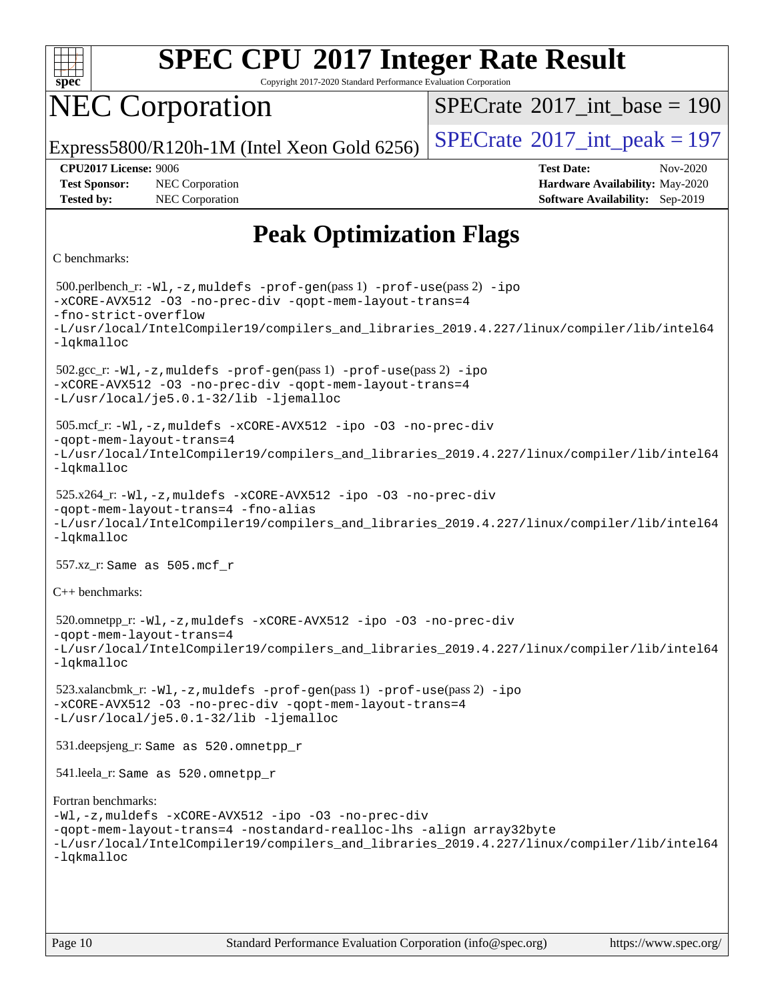

Copyright 2017-2020 Standard Performance Evaluation Corporation

# NEC Corporation

 $SPECTate@2017_int\_base = 190$ 

Express5800/R120h-1M (Intel Xeon Gold 6256)  $\left|$  [SPECrate](http://www.spec.org/auto/cpu2017/Docs/result-fields.html#SPECrate2017intpeak)<sup>®</sup>[2017\\_int\\_peak = 1](http://www.spec.org/auto/cpu2017/Docs/result-fields.html#SPECrate2017intpeak)97

**[Tested by:](http://www.spec.org/auto/cpu2017/Docs/result-fields.html#Testedby)** NEC Corporation **[Software Availability:](http://www.spec.org/auto/cpu2017/Docs/result-fields.html#SoftwareAvailability)** Sep-2019

**[CPU2017 License:](http://www.spec.org/auto/cpu2017/Docs/result-fields.html#CPU2017License)** 9006 **[Test Date:](http://www.spec.org/auto/cpu2017/Docs/result-fields.html#TestDate)** Nov-2020 **[Test Sponsor:](http://www.spec.org/auto/cpu2017/Docs/result-fields.html#TestSponsor)** NEC Corporation **[Hardware Availability:](http://www.spec.org/auto/cpu2017/Docs/result-fields.html#HardwareAvailability)** May-2020

### **[Peak Optimization Flags](http://www.spec.org/auto/cpu2017/Docs/result-fields.html#PeakOptimizationFlags)**

#### [C benchmarks](http://www.spec.org/auto/cpu2017/Docs/result-fields.html#Cbenchmarks):

```
 500.perlbench_r: -Wl,-z,muldefs -prof-gen(pass 1) -prof-use(pass 2) -ipo
-xCORE-AVX512 -O3 -no-prec-div -qopt-mem-layout-trans=4
-fno-strict-overflow
-L/usr/local/IntelCompiler19/compilers_and_libraries_2019.4.227/linux/compiler/lib/intel64
-lqkmalloc
 502.gcc_r: -Wl,-z,muldefs -prof-gen(pass 1) -prof-use(pass 2) -ipo
-xCORE-AVX512 -O3 -no-prec-div -qopt-mem-layout-trans=4
-L/usr/local/je5.0.1-32/lib -ljemalloc
 505.mcf_r: -Wl,-z,muldefs -xCORE-AVX512 -ipo -O3 -no-prec-div
-qopt-mem-layout-trans=4
-L/usr/local/IntelCompiler19/compilers_and_libraries_2019.4.227/linux/compiler/lib/intel64
-lqkmalloc
 525.x264_r: -Wl,-z,muldefs -xCORE-AVX512 -ipo -O3 -no-prec-div
-qopt-mem-layout-trans=4 -fno-alias
-L/usr/local/IntelCompiler19/compilers_and_libraries_2019.4.227/linux/compiler/lib/intel64
-lqkmalloc
 557.xz_r: Same as 505.mcf_r
C++ benchmarks: 
 520.omnetpp_r: -Wl,-z,muldefs -xCORE-AVX512 -ipo -O3 -no-prec-div
-qopt-mem-layout-trans=4
-L/usr/local/IntelCompiler19/compilers_and_libraries_2019.4.227/linux/compiler/lib/intel64
-lqkmalloc
 523.xalancbmk_r: -Wl,-z,muldefs -prof-gen(pass 1) -prof-use(pass 2) -ipo
-xCORE-AVX512 -O3 -no-prec-div -qopt-mem-layout-trans=4
-L/usr/local/je5.0.1-32/lib -ljemalloc
 531.deepsjeng_r: Same as 520.omnetpp_r
 541.leela_r: Same as 520.omnetpp_r
Fortran benchmarks: 
-Wl,-z,muldefs -xCORE-AVX512 -ipo -O3 -no-prec-div
-qopt-mem-layout-trans=4 -nostandard-realloc-lhs -align array32byte
-L/usr/local/IntelCompiler19/compilers_and_libraries_2019.4.227/linux/compiler/lib/intel64
-lqkmalloc
```